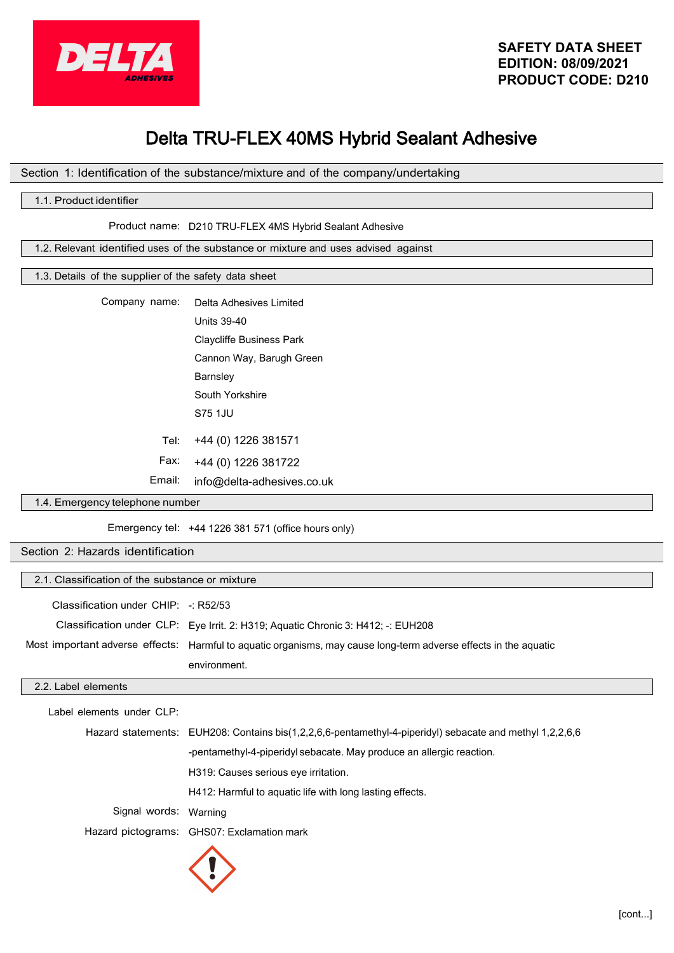

# Delta TRU-FLEX 40MS Hybrid Sealant Adhesive

# Section 1: Identification of the substance/mixture and of the company/undertaking

## 1.1. Product identifier

Product name: D210 TRU-FLEX 4MS Hybrid Sealant Adhesive

1.2. Relevant identified uses of the substance or mixture and uses advised against

# 1.3. Details of the supplier of the safety data sheet

| Company name: |        | Delta Adhesives Limited         |
|---------------|--------|---------------------------------|
|               |        | Units 39-40                     |
|               |        | <b>Claycliffe Business Park</b> |
|               |        | Cannon Way, Barugh Green        |
|               |        | <b>Barnsley</b>                 |
|               |        | South Yorkshire                 |
|               |        | S75 1.JU                        |
|               | Tel:   | +44 (0) 1226 381571             |
|               | Fax:   | +44 (0) 1226 381722             |
|               | Email: | info@delta-adhesives.co.uk      |

## 1.4. Emergency telephone number

Emergency tel: +44 1226 381 571 (office hours only)

# Section 2: Hazards identification

| 2.1. Classification of the substance or mixture |                                                                                                                  |  |
|-------------------------------------------------|------------------------------------------------------------------------------------------------------------------|--|
| Classification under CHIP: -: R52/53            |                                                                                                                  |  |
|                                                 | Classification under CLP: Eye Irrit. 2: H319; Aquatic Chronic 3: H412; -: EUH208                                 |  |
|                                                 | Most important adverse effects: Harmful to aguatic organisms, may cause long-term adverse effects in the aguatic |  |
|                                                 | environment.                                                                                                     |  |
| 2.2. Label elements                             |                                                                                                                  |  |
| Label elements under CLP:                       |                                                                                                                  |  |
|                                                 | Hazard statements: EUH208: Contains bis(1,2,2,6,6-pentamethyl-4-piperidyl) sebacate and methyl 1,2,2,6,6         |  |
|                                                 | -pentamethyl-4-piperidyl sebacate. May produce an allergic reaction.                                             |  |
|                                                 | H319: Causes serious eye irritation.                                                                             |  |
|                                                 |                                                                                                                  |  |
|                                                 | H412: Harmful to aquatic life with long lasting effects.                                                         |  |

Signal words: Warning

Hazard pictograms: GHS07: Exclamation mark

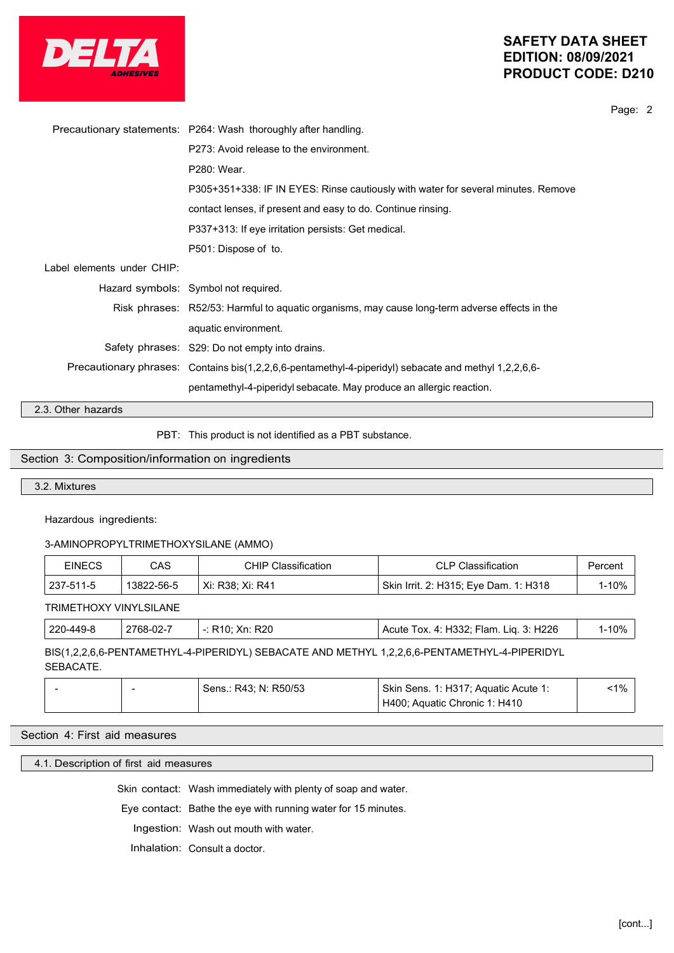

|                            |                                                                                                       | Page: 2 |  |
|----------------------------|-------------------------------------------------------------------------------------------------------|---------|--|
|                            | Precautionary statements: P264: Wash thoroughly after handling.                                       |         |  |
|                            | P273: Avoid release to the environment.                                                               |         |  |
|                            | P280: Wear.                                                                                           |         |  |
|                            | P305+351+338: IF IN EYES: Rinse cautiously with water for several minutes. Remove                     |         |  |
|                            | contact lenses, if present and easy to do. Continue rinsing.                                          |         |  |
|                            | P337+313: If eye irritation persists: Get medical.                                                    |         |  |
|                            | P501: Dispose of to.                                                                                  |         |  |
| Label elements under CHIP: |                                                                                                       |         |  |
|                            | Hazard symbols: Symbol not required.                                                                  |         |  |
|                            | Risk phrases: R52/53: Harmful to aquatic organisms, may cause long-term adverse effects in the        |         |  |
|                            | aquatic environment.                                                                                  |         |  |
|                            | Safety phrases: S29: Do not empty into drains.                                                        |         |  |
|                            | Precautionary phrases: Contains bis(1,2,2,6,6-pentamethyl-4-piperidyl) sebacate and methyl 1,2,2,6,6- |         |  |
|                            | pentamethyl-4-piperidyl sebacate. May produce an allergic reaction.                                   |         |  |

2.3. Other hazards

PBT: This product is not identified as a PBT substance.

# Section 3: Composition/information on ingredients

#### 3.2. Mixtures

Hazardous ingredients:

# 3-AMINOPROPYLTRIMETHOXYSILANE (AMMO)

| EINECS    | CAS        | <b>CHIP Classification</b> | <b>CLP Classification</b>             | Percent |
|-----------|------------|----------------------------|---------------------------------------|---------|
| 237-511-5 | 13822-56-5 | Xi: R38: Xi: R41           | Skin Irrit. 2: H315; Eye Dam. 1: H318 | l-10%   |

TRIMETHOXY VINYLSILANE

| 220-449-8 | 2768-02-7 | R <sub>20</sub><br>: R10:<br>Xn∶ | : H332; Flam. Lig. 3: H226<br>Tox.<br>4.<br>Acute | 10% |
|-----------|-----------|----------------------------------|---------------------------------------------------|-----|
|           |           |                                  |                                                   |     |

BIS(1,2,2,6,6-PENTAMETHYL-4-PIPERIDYL) SEBACATE AND METHYL 1,2,2,6,6-PENTAMETHYL-4-PIPERIDYL SEBACATE.

|  | Sens.: R43: N: R50/53 | Skin Sens. 1: H317; Aquatic Acute 1: | $-1\%$ |  |
|--|-----------------------|--------------------------------------|--------|--|
|  |                       | H400; Aquatic Chronic 1: H410        |        |  |

#### Section 4: First aid measures

# 4.1. Description of first aid measures

Skin contact: Wash immediately with plenty of soap and water.

Eye contact: Bathe the eye with running water for 15 minutes.

Ingestion: Wash out mouth with water.

Inhalation: Consult a doctor.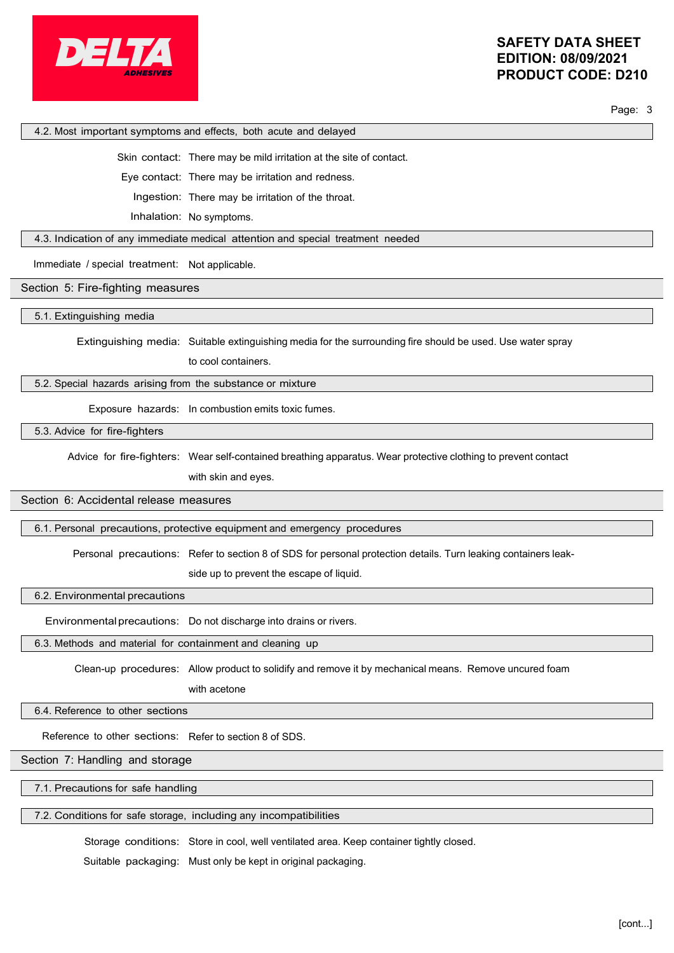

Page: 3

4.2. Most important symptoms and effects, both acute and delayed

Skin contact: There may be mild irritation at the site of contact.

Eye contact: There may be irritation and redness.

Ingestion: There may be irritation of the throat.

Inhalation: No symptoms.

4.3. Indication of any immediate medical attention and special treatment needed

Immediate / special treatment: Not applicable.

Section 5: Fire-fighting measures

5.1. Extinguishing media

Extinguishing media: Suitable extinguishing media for the surrounding fire should be used. Use water spray

to cool containers.

5.2. Special hazards arising from the substance or mixture

Exposure hazards: In combustion emits toxic fumes.

5.3. Advice for fire-fighters

Advice for fire-fighters: Wear self-contained breathing apparatus. Wear protective clothing to prevent contact

with skin and eyes.

Section 6: Accidental release measures

6.1. Personal precautions, protective equipment and emergency procedures

Personal precautions: Refer to section 8 of SDS for personal protection details. Turn leaking containers leak-

side up to prevent the escape of liquid.

6.2. Environmental precautions

Environmentalprecautions: Do not discharge into drains or rivers.

6.3. Methods and material for containment and cleaning up

Clean-up procedures: Allow product to solidify and remove it by mechanical means. Remove uncured foam

with acetone

6.4. Reference to other sections

Reference to other sections: Refer to section 8 of SDS.

Section 7: Handling and storage

7.1. Precautions for safe handling

7.2. Conditions for safe storage, including any incompatibilities

Storage conditions: Store in cool, well ventilated area. Keep container tightly closed.

Suitable packaging: Must only be kept in original packaging.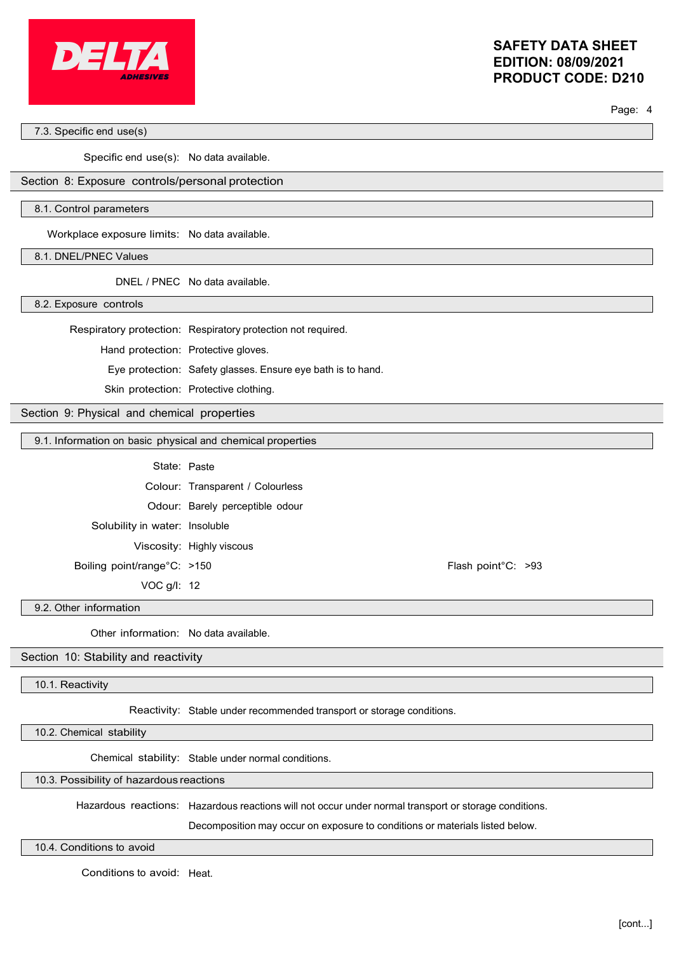

Page: 4

## 7.3. Specific end use(s)

Specific end use(s): No data available.

## Section 8: Exposure controls/personal protection

#### 8.1. Control parameters

Workplace exposure limits: No data available.

#### 8.1. DNEL/PNEC Values

DNEL / PNEC No data available.

8.2. Exposure controls

Respiratory protection: Respiratory protection not required.

Hand protection: Protective gloves.

Eye protection: Safety glasses. Ensure eye bath is to hand.

Skin protection: Protective clothing.

Section 9: Physical and chemical properties

## 9.1. Information on basic physical and chemical properties

State: Paste

Colour: Transparent / Colourless Odour: Barely perceptible odour Solubility in water: Insoluble Viscosity: Highly viscous

Boiling point/range°C: >150

VOC g/l: 12

Flash point°C: >93

9.2. Other information

Other information: No data available.

#### Section 10: Stability and reactivity

10.1. Reactivity

Reactivity: Stable under recommended transport or storage conditions.

10.2. Chemical stability

Chemical stability: Stable under normal conditions.

10.3. Possibility of hazardous reactions

Hazardous reactions: Hazardous reactions will not occur under normal transport or storage conditions.

Decomposition may occur on exposure to conditions or materials listed below.

10.4. Conditions to avoid

Conditions to avoid: Heat.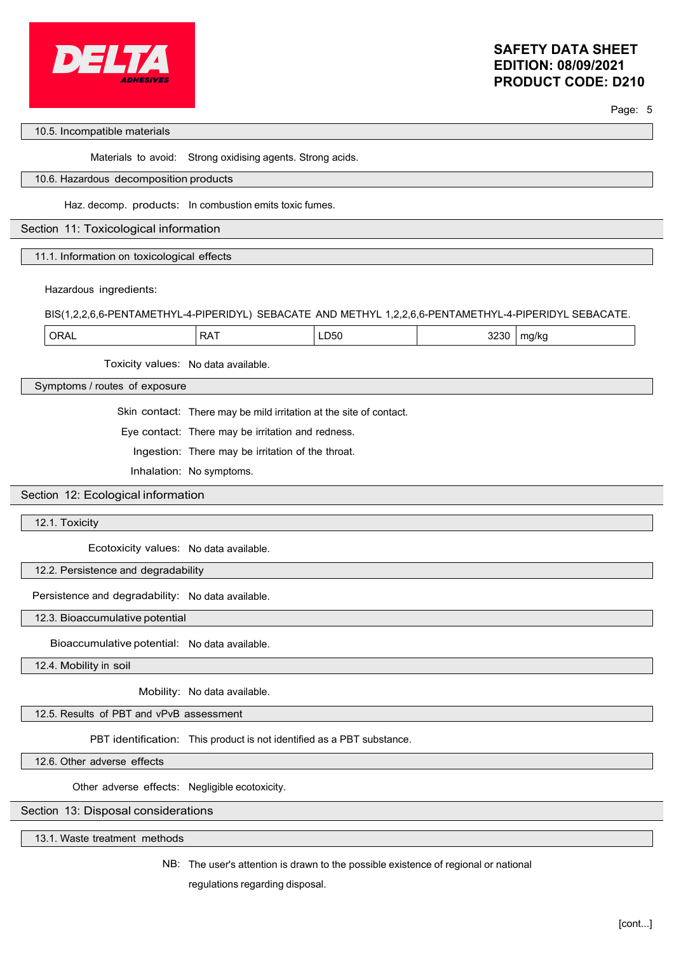

Page: 5

#### 10.5. Incompatible materials

Materials to avoid: Strong oxidising agents. Strong acids.

#### 10.6. Hazardous decomposition products

Haz. decomp. products: In combustion emits toxic fumes.

#### Section 11: Toxicological information

#### 11.1. Information on toxicological effects

Hazardous ingredients:

BIS(1,2,2,6,6-PENTAMETHYL-4-PIPERIDYL) SEBACATE AND METHYL 1,2,2,6,6-PENTAMETHYL-4-PIPERIDYL SEBACATE.

| <b>ORAL</b><br>D٨<br>– 50∪<br>N<br>. .<br>$ -$ | 3230<br>.<br>ma/ko<br>.<br>. .<br>__ |
|------------------------------------------------|--------------------------------------|
|------------------------------------------------|--------------------------------------|

Toxicity values: No data available.

Symptoms / routes of exposure

Skin contact: There may be mild irritation at the site of contact.

Eye contact: There may be irritation and redness.

Ingestion: There may be irritation of the throat.

Inhalation: No symptoms.

## Section 12: Ecological information

12.1. Toxicity

Ecotoxicity values: No data available.

12.2. Persistence and degradability

Persistence and degradability: No data available.

12.3. Bioaccumulative potential

Bioaccumulative potential: No data available.

12.4. Mobility in soil

Mobility: No data available.

12.5. Results of PBT and vPvB assessment

PBT identification: This product is not identified as a PBT substance.

12.6. Other adverse effects

Other adverse effects: Negligible ecotoxicity.

#### Section 13: Disposal considerations

13.1. Waste treatment methods

NB: The user's attention is drawn to the possible existence of regional or national

regulations regarding disposal.